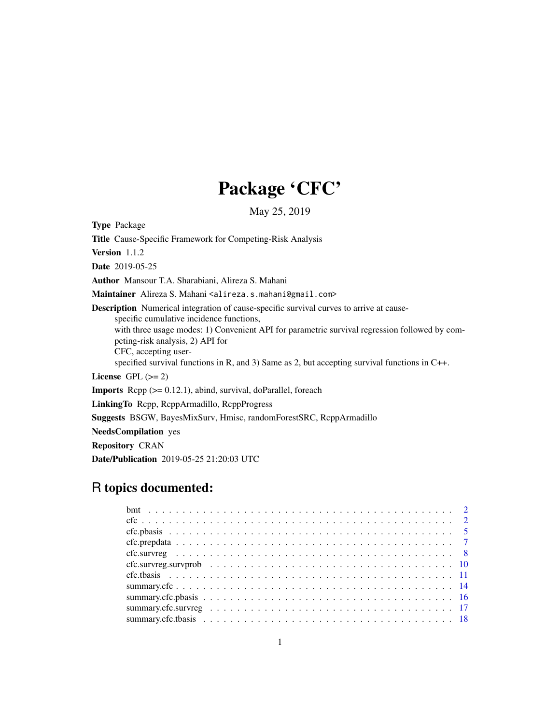# Package 'CFC'

May 25, 2019

<span id="page-0-0"></span>Type Package

Title Cause-Specific Framework for Competing-Risk Analysis Version 1.1.2 Date 2019-05-25 Author Mansour T.A. Sharabiani, Alireza S. Mahani Maintainer Alireza S. Mahani <alireza.s.mahani@gmail.com> Description Numerical integration of cause-specific survival curves to arrive at causespecific cumulative incidence functions, with three usage modes: 1) Convenient API for parametric survival regression followed by competing-risk analysis, 2) API for CFC, accepting userspecified survival functions in R, and 3) Same as 2, but accepting survival functions in C++. License GPL  $(>= 2)$ **Imports** Rcpp  $(>= 0.12.1)$ , abind, survival, doParallel, foreach LinkingTo Rcpp, RcppArmadillo, RcppProgress Suggests BSGW, BayesMixSurv, Hmisc, randomForestSRC, RcppArmadillo NeedsCompilation yes Repository CRAN Date/Publication 2019-05-25 21:20:03 UTC

# R topics documented: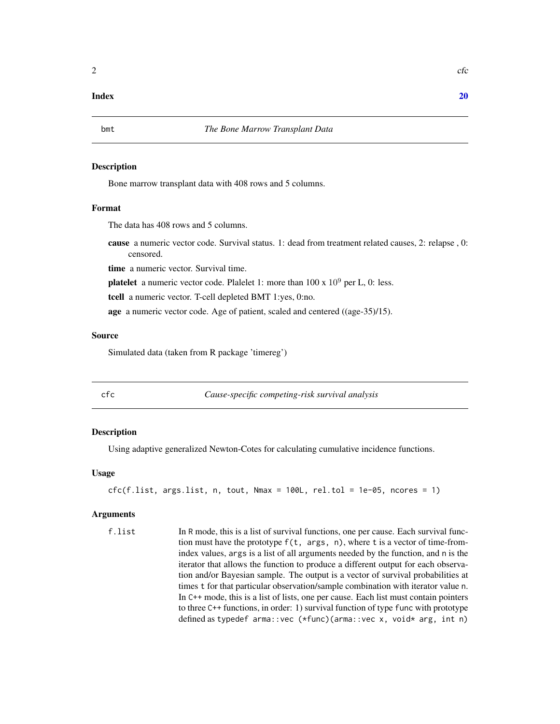#### <span id="page-1-0"></span> $\bf 1$ ndex  $\bf 20$  $\bf 20$

#### Description

Bone marrow transplant data with 408 rows and 5 columns.

#### Format

The data has 408 rows and 5 columns.

cause a numeric vector code. Survival status. 1: dead from treatment related causes, 2: relapse , 0: censored.

time a numeric vector. Survival time.

**platelet** a numeric vector code. Plalelet 1: more than  $100 \times 10^9$  per L, 0: less.

tcell a numeric vector. T-cell depleted BMT 1:yes, 0:no.

age a numeric vector code. Age of patient, scaled and centered ((age-35)/15).

#### Source

Simulated data (taken from R package 'timereg')

<span id="page-1-1"></span>

cfc *Cause-specific competing-risk survival analysis*

#### Description

Using adaptive generalized Newton-Cotes for calculating cumulative incidence functions.

#### Usage

 $cfc(f.list, args.list, n, tout, Nmax = 100L, rel.tol = 1e-05, ncores = 1)$ 

#### Arguments

f.list In R mode, this is a list of survival functions, one per cause. Each survival function must have the prototype f(t, args, n), where t is a vector of time-fromindex values, args is a list of all arguments needed by the function, and n is the iterator that allows the function to produce a different output for each observation and/or Bayesian sample. The output is a vector of survival probabilities at times t for that particular observation/sample combination with iterator value n. In C++ mode, this is a list of lists, one per cause. Each list must contain pointers to three C++ functions, in order: 1) survival function of type func with prototype defined as typedef arma::vec (\*func)(arma::vec x, void\* arg, int n)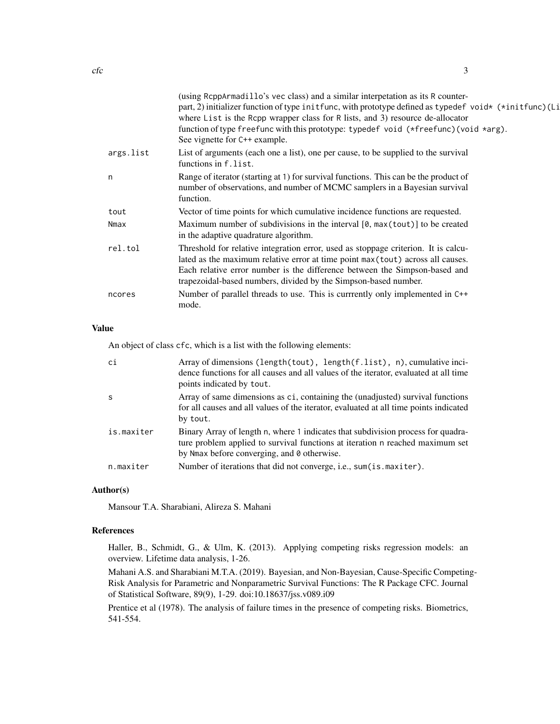|           | (using ReppArmadillo's vec class) and a similar interpetation as its R counter-<br>part, 2) initializer function of type initfunc, with prototype defined as typedef void* (*initfunc) (Li<br>where List is the Rcpp wrapper class for R lists, and 3) resource de-allocator<br>function of type freefunc with this prototype: typedef void (*freefunc)(void *arg).<br>See vignette for C++ example. |
|-----------|------------------------------------------------------------------------------------------------------------------------------------------------------------------------------------------------------------------------------------------------------------------------------------------------------------------------------------------------------------------------------------------------------|
| args.list | List of arguments (each one a list), one per cause, to be supplied to the survival<br>functions in f.list.                                                                                                                                                                                                                                                                                           |
| n         | Range of iterator (starting at 1) for survival functions. This can be the product of<br>number of observations, and number of MCMC samplers in a Bayesian survival<br>function.                                                                                                                                                                                                                      |
| tout      | Vector of time points for which cumulative incidence functions are requested.                                                                                                                                                                                                                                                                                                                        |
| Nmax      | Maximum number of subdivisions in the interval $[0, \text{max}(\text{tout})]$ to be created<br>in the adaptive quadrature algorithm.                                                                                                                                                                                                                                                                 |
| rel.tol   | Threshold for relative integration error, used as stoppage criterion. It is calcu-<br>lated as the maximum relative error at time point max (tout) across all causes.<br>Each relative error number is the difference between the Simpson-based and<br>trapezoidal-based numbers, divided by the Simpson-based number.                                                                               |
| ncores    | Number of parallel threads to use. This is currrently only implemented in C++<br>mode.                                                                                                                                                                                                                                                                                                               |
|           |                                                                                                                                                                                                                                                                                                                                                                                                      |

# Value

An object of class cfc, which is a list with the following elements:

| ci         | Array of dimensions (length(tout), length(f.list), $n$ ), cumulative inci-<br>dence functions for all causes and all values of the iterator, evaluated at all time<br>points indicated by tout.                  |
|------------|------------------------------------------------------------------------------------------------------------------------------------------------------------------------------------------------------------------|
| -S         | Array of same dimensions as ci, containing the (unadjusted) survival functions<br>for all causes and all values of the iterator, evaluated at all time points indicated<br>by tout.                              |
| is.maxiter | Binary Array of length n, where 1 indicates that subdivision process for quadra-<br>ture problem applied to survival functions at iteration n reached maximum set<br>by Nmax before converging, and 0 otherwise. |
| n.maxiter  | Number of iterations that did not converge, i.e., sum(is.maxiter).                                                                                                                                               |

# Author(s)

Mansour T.A. Sharabiani, Alireza S. Mahani

#### References

Haller, B., Schmidt, G., & Ulm, K. (2013). Applying competing risks regression models: an overview. Lifetime data analysis, 1-26.

Mahani A.S. and Sharabiani M.T.A. (2019). Bayesian, and Non-Bayesian, Cause-Specific Competing-Risk Analysis for Parametric and Nonparametric Survival Functions: The R Package CFC. Journal of Statistical Software, 89(9), 1-29. doi:10.18637/jss.v089.i09

Prentice et al (1978). The analysis of failure times in the presence of competing risks. Biometrics, 541-554.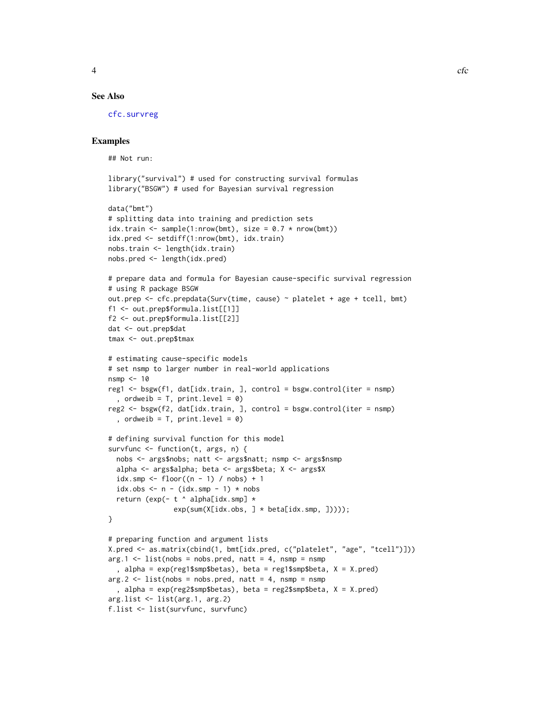# <span id="page-3-0"></span>See Also

[cfc.survreg](#page-7-1)

# Examples

## Not run:

```
library("survival") # used for constructing survival formulas
library("BSGW") # used for Bayesian survival regression
```

```
data("bmt")
# splitting data into training and prediction sets
idx.train \leq sample(1:nrow(bmt), size = 0.7 \star nrow(bmt))
idx.pred <- setdiff(1:nrow(bmt), idx.train)
nobs.train <- length(idx.train)
nobs.pred <- length(idx.pred)
# prepare data and formula for Bayesian cause-specific survival regression
# using R package BSGW
out.prep <- cfc.prepdata(Surv(time, cause) ~ platelet + age + tcell, bmt)
f1 <- out.prep$formula.list[[1]]
f2 <- out.prep$formula.list[[2]]
dat <- out.prep$dat
tmax <- out.prep$tmax
# estimating cause-specific models
# set nsmp to larger number in real-world applications
nsmp < -10reg1 \leq bsgw(f1, dat[idx.train, ], control = bsgw.control(iter = nsmp)
  , ordweib = T, print.level = 0)
reg2 <- bsgw(f2, dat[idx.train, ], control = bsgw.control(iter = nsmp)
  , ordweib = T, print.level = 0)
```

```
# defining survival function for this model
survfunc <- function(t, args, n) {
 nobs <- args$nobs; natt <- args$natt; nsmp <- args$nsmp
 alpha <- args$alpha; beta <- args$beta; X <- args$X
 idx.smp <- floor((n - 1) / nobs) + 1idx.obs < - n - (idx.smp - 1) * nobsreturn (exp(- t \land alpha[idx.smp] \starexp(sum(X[idx.obs, ] * beta[idx.smp, ]))));
}
```

```
# preparing function and argument lists
X.pred <- as.matrix(cbind(1, bmt[idx.pred, c("platelet", "age", "tcell")]))
arg.1 \leq 1 ist(nobs = nobs.pred, natt = 4, nsmp = nsmp
  , alpha = exp(reg1$smp$betas), beta = reg1$smp$beta, X = X.pred)
arg.2 \leq -\text{list}(nobs = nobs.pred, natt = 4, nsmp = nsmp, alpha = exp(reg2$smp$betas), beta = reg2$smp$beta, X = X.pred)
arg.list <- list(arg.1, arg.2)
f.list <- list(survfunc, survfunc)
```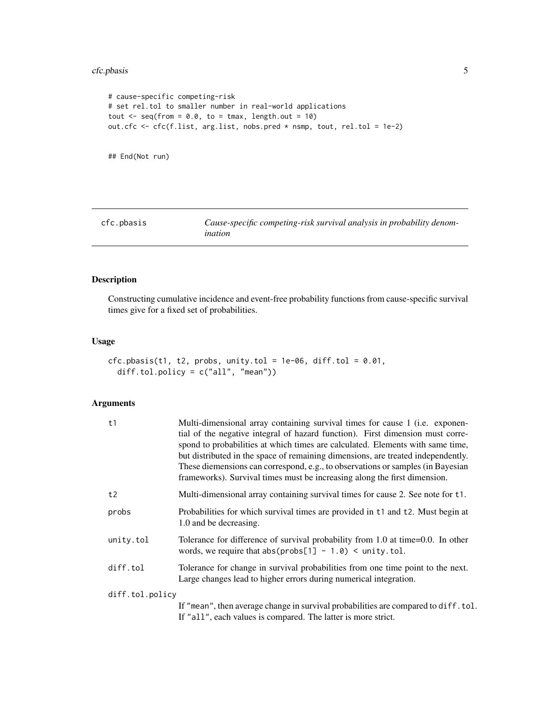#### <span id="page-4-0"></span>cfc.pbasis 5

```
# cause-specific competing-risk
# set rel.tol to smaller number in real-world applications
tout \leq seq(from = 0.0, to = tmax, length.out = 10)
out.cfc <- cfc(f.list, arg.list, nobs.pred * nsmp, tout, rel.tol = 1e-2)
```
## End(Not run)

<span id="page-4-1"></span>cfc.pbasis *Cause-specific competing-risk survival analysis in probability denomination*

# Description

Constructing cumulative incidence and event-free probability functions from cause-specific survival times give for a fixed set of probabilities.

### Usage

```
cfc.pbasis(t1, t2, probs, unity.tol = 1e-06, diff.tol = 0.01,diff.tol.policy = c("all", "mean"))
```
### Arguments

| t1              | Multi-dimensional array containing survival times for cause 1 (i.e. exponen-<br>tial of the negative integral of hazard function). First dimension must corre-<br>spond to probabilities at which times are calculated. Elements with same time,<br>but distributed in the space of remaining dimensions, are treated independently.<br>These diemensions can correspond, e.g., to observations or samples (in Bayesian<br>frameworks). Survival times must be increasing along the first dimension. |
|-----------------|------------------------------------------------------------------------------------------------------------------------------------------------------------------------------------------------------------------------------------------------------------------------------------------------------------------------------------------------------------------------------------------------------------------------------------------------------------------------------------------------------|
| t2              | Multi-dimensional array containing survival times for cause 2. See note for t1.                                                                                                                                                                                                                                                                                                                                                                                                                      |
| probs           | Probabilities for which survival times are provided in t1 and t2. Must begin at<br>1.0 and be decreasing.                                                                                                                                                                                                                                                                                                                                                                                            |
| unity.tol       | Tolerance for difference of survival probability from 1.0 at time=0.0. In other<br>words, we require that $abs(probs[1] - 1.0)$ < unity.tol.                                                                                                                                                                                                                                                                                                                                                         |
| diff.tol        | Tolerance for change in survival probabilities from one time point to the next.<br>Large changes lead to higher errors during numerical integration.                                                                                                                                                                                                                                                                                                                                                 |
| diff.tol.policy |                                                                                                                                                                                                                                                                                                                                                                                                                                                                                                      |
|                 | If "mean", then average change in survival probabilities are compared to diff. tol.<br>If "all", each values is compared. The latter is more strict.                                                                                                                                                                                                                                                                                                                                                 |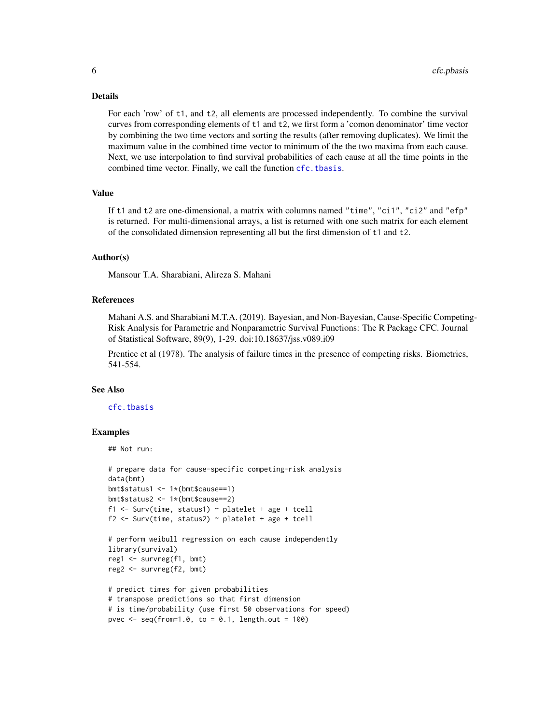#### Details

For each 'row' of t1, and t2, all elements are processed independently. To combine the survival curves from corresponding elements of t1 and t2, we first form a 'comon denominator' time vector by combining the two time vectors and sorting the results (after removing duplicates). We limit the maximum value in the combined time vector to minimum of the the two maxima from each cause. Next, we use interpolation to find survival probabilities of each cause at all the time points in the combined time vector. Finally, we call the function [cfc.tbasis](#page-10-1).

#### Value

If t1 and t2 are one-dimensional, a matrix with columns named "time", "ci1", "ci2" and "efp" is returned. For multi-dimensional arrays, a list is returned with one such matrix for each element of the consolidated dimension representing all but the first dimension of t1 and t2.

#### Author(s)

Mansour T.A. Sharabiani, Alireza S. Mahani

#### References

Mahani A.S. and Sharabiani M.T.A. (2019). Bayesian, and Non-Bayesian, Cause-Specific Competing-Risk Analysis for Parametric and Nonparametric Survival Functions: The R Package CFC. Journal of Statistical Software, 89(9), 1-29. doi:10.18637/jss.v089.i09

Prentice et al (1978). The analysis of failure times in the presence of competing risks. Biometrics, 541-554.

#### See Also

[cfc.tbasis](#page-10-1)

#### Examples

```
## Not run:
```

```
# prepare data for cause-specific competing-risk analysis
data(bmt)
bmt$status1 <- 1*(bmt$cause==1)
bmt$status2 <- 1*(bmt$cause==2)
f1 <- Surv(time, status1) \sim platelet + age + tcell
f2 <- Surv(time, status2) \sim platelet + age + tcell
# perform weibull regression on each cause independently
library(survival)
reg1 <- survreg(f1, bmt)
reg2 <- survreg(f2, bmt)
# predict times for given probabilities
# transpose predictions so that first dimension
# is time/probability (use first 50 observations for speed)
pvec \leq seq(from=1.0, to = 0.1, length.out = 100)
```
<span id="page-5-0"></span>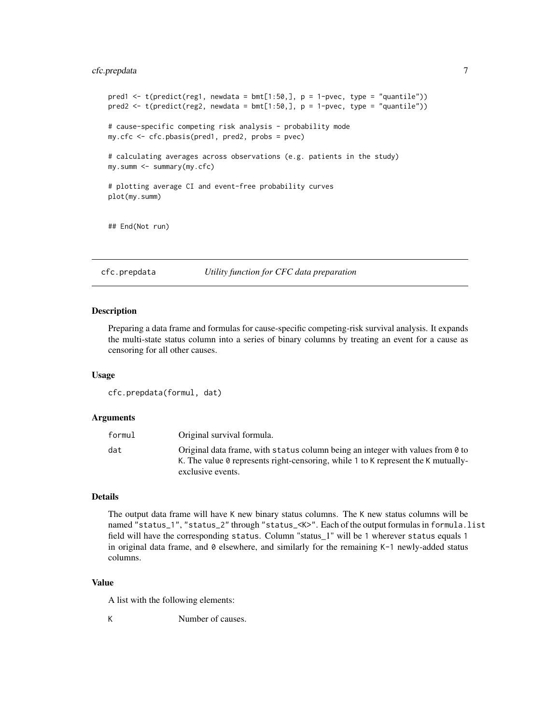# <span id="page-6-0"></span>cfc.prepdata 7

```
pred1 \leq t(predict(reg1, newdata = bmt[1:50,], p = 1-pvec, type = "quantile"))
pred2 \leq t(predict(reg2, newdata = bmt[1:50,], p = 1-pvec, type = "quantile"))
# cause-specific competing risk analysis - probability mode
my.cfc <- cfc.pbasis(pred1, pred2, probs = pvec)
# calculating averages across observations (e.g. patients in the study)
my.summ <- summary(my.cfc)
# plotting average CI and event-free probability curves
plot(my.summ)
## End(Not run)
```
<span id="page-6-1"></span>

cfc.prepdata *Utility function for CFC data preparation*

#### **Description**

Preparing a data frame and formulas for cause-specific competing-risk survival analysis. It expands the multi-state status column into a series of binary columns by treating an event for a cause as censoring for all other causes.

#### Usage

```
cfc.prepdata(formul, dat)
```
#### Arguments

| formul | Original survival formula.                                                                                                                                                               |
|--------|------------------------------------------------------------------------------------------------------------------------------------------------------------------------------------------|
| dat    | Original data frame, with status column being an integer with values from 0 to<br>K. The value 0 represents right-censoring, while 1 to K represent the K mutually-<br>exclusive events. |

#### Details

The output data frame will have K new binary status columns. The K new status columns will be named "status\_1", "status\_2" through "status\_<K>". Each of the output formulas in formula.list field will have the corresponding status. Column "status\_1" will be 1 wherever status equals 1 in original data frame, and  $\theta$  elsewhere, and similarly for the remaining K-1 newly-added status columns.

# Value

A list with the following elements:

K Number of causes.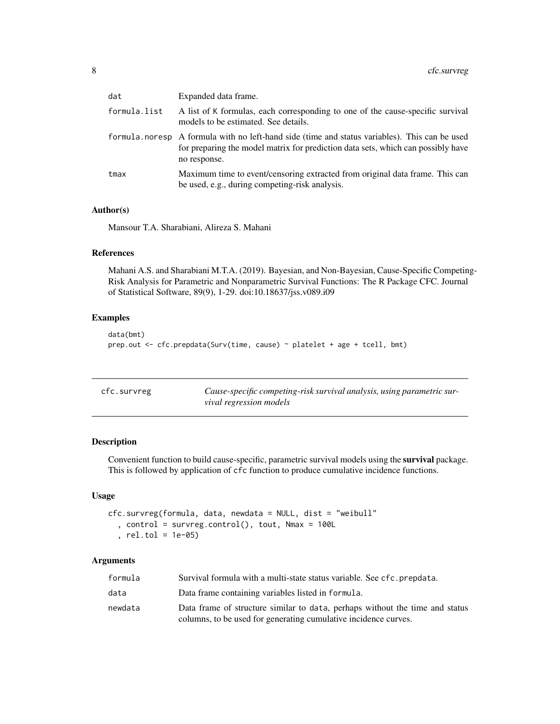<span id="page-7-0"></span>

| dat          | Expanded data frame.                                                                                                                                                                              |
|--------------|---------------------------------------------------------------------------------------------------------------------------------------------------------------------------------------------------|
| formula.list | A list of K formulas, each corresponding to one of the cause-specific survival<br>models to be estimated. See details.                                                                            |
|              | formula.noresp A formula with no left-hand side (time and status variables). This can be used<br>for preparing the model matrix for prediction data sets, which can possibly have<br>no response. |
| tmax         | Maximum time to event/censoring extracted from original data frame. This can<br>be used, e.g., during competing-risk analysis.                                                                    |

# Author(s)

Mansour T.A. Sharabiani, Alireza S. Mahani

#### References

Mahani A.S. and Sharabiani M.T.A. (2019). Bayesian, and Non-Bayesian, Cause-Specific Competing-Risk Analysis for Parametric and Nonparametric Survival Functions: The R Package CFC. Journal of Statistical Software, 89(9), 1-29. doi:10.18637/jss.v089.i09

# Examples

```
data(bmt)
prep.out <- cfc.prepdata(Surv(time, cause) ~ platelet + age + tcell, bmt)
```
<span id="page-7-1"></span>

| cfc.survreg | Cause-specific competing-risk survival analysis, using parametric sur- |
|-------------|------------------------------------------------------------------------|
|             | vival regression models                                                |

# Description

Convenient function to build cause-specific, parametric survival models using the **survival** package. This is followed by application of cfc function to produce cumulative incidence functions.

## Usage

```
cfc.survreg(formula, data, newdata = NULL, dist = "weibull"
  , control = survreg.control(), tout, Nmax = 100L
  , rel.tol = 1e-05)
```
# Arguments

| formula | Survival formula with a multi-state status variable. See cfc.prepdata.       |
|---------|------------------------------------------------------------------------------|
| data    | Data frame containing variables listed in formula.                           |
| newdata | Data frame of structure similar to data, perhaps without the time and status |
|         | columns, to be used for generating cumulative incidence curves.              |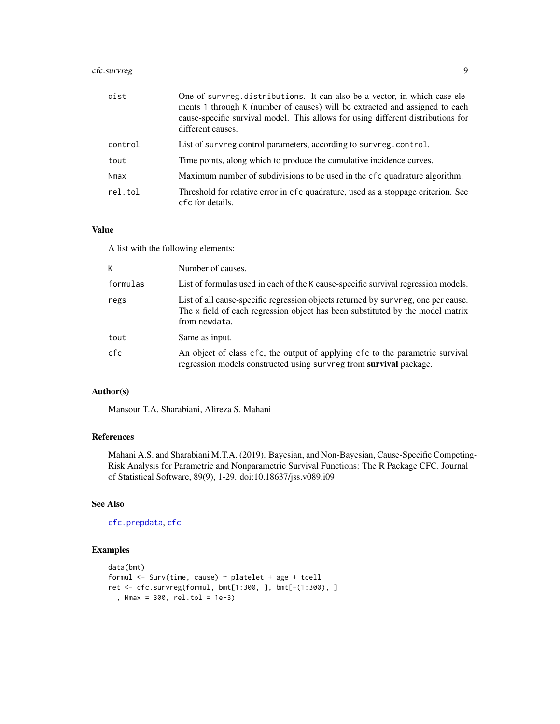# <span id="page-8-0"></span>cfc.survreg 9

| dist    | One of survreg distributions. It can also be a vector, in which case ele-<br>ments 1 through K (number of causes) will be extracted and assigned to each<br>cause-specific survival model. This allows for using different distributions for<br>different causes. |
|---------|-------------------------------------------------------------------------------------------------------------------------------------------------------------------------------------------------------------------------------------------------------------------|
| control | List of survreg control parameters, according to survreg, control.                                                                                                                                                                                                |
| tout    | Time points, along which to produce the cumulative incidence curves.                                                                                                                                                                                              |
| Nmax    | Maximum number of subdivisions to be used in the cfc quadrature algorithm.                                                                                                                                                                                        |
| rel.tol | Threshold for relative error in cfc quadrature, used as a stoppage criterion. See<br>cfc for details.                                                                                                                                                             |

# Value

A list with the following elements:

| K        | Number of causes.                                                                                                                                                                    |
|----------|--------------------------------------------------------------------------------------------------------------------------------------------------------------------------------------|
| formulas | List of formulas used in each of the K cause-specific survival regression models.                                                                                                    |
| regs     | List of all cause-specific regression objects returned by survreg, one per cause.<br>The x field of each regression object has been substituted by the model matrix<br>from newdata. |
| tout     | Same as input.                                                                                                                                                                       |
| cfc      | An object of class cfc, the output of applying cfc to the parametric survival<br>regression models constructed using survreg from survival package.                                  |

# Author(s)

Mansour T.A. Sharabiani, Alireza S. Mahani

# References

Mahani A.S. and Sharabiani M.T.A. (2019). Bayesian, and Non-Bayesian, Cause-Specific Competing-Risk Analysis for Parametric and Nonparametric Survival Functions: The R Package CFC. Journal of Statistical Software, 89(9), 1-29. doi:10.18637/jss.v089.i09

# See Also

[cfc.prepdata](#page-6-1), [cfc](#page-1-1)

# Examples

```
data(bmt)
formul <- Surv(time, cause) ~ platelet + age + tcell
ret <- cfc.survreg(formul, bmt[1:300, ], bmt[-(1:300), ]
  , Nmax = 300, rel.tol = 1e-3)
```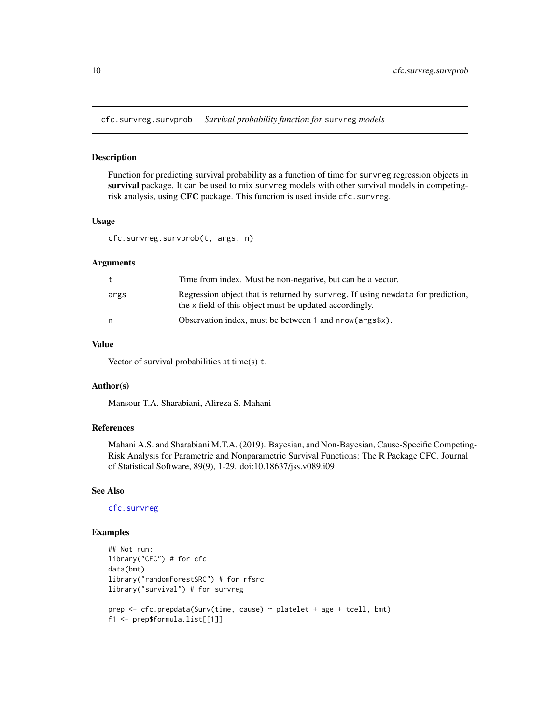<span id="page-9-0"></span>cfc.survreg.survprob *Survival probability function for* survreg *models*

#### Description

Function for predicting survival probability as a function of time for survreg regression objects in survival package. It can be used to mix survreg models with other survival models in competingrisk analysis, using CFC package. This function is used inside cfc.survreg.

# Usage

```
cfc.survreg.survprob(t, args, n)
```
#### Arguments

| t    | Time from index. Must be non-negative, but can be a vector.                                                                                |
|------|--------------------------------------------------------------------------------------------------------------------------------------------|
| args | Regression object that is returned by survreg. If using newdata for prediction,<br>the x field of this object must be updated accordingly. |
| n    | Observation index, must be between 1 and $nrow(args x)$ .                                                                                  |

#### Value

Vector of survival probabilities at time(s) t.

# Author(s)

Mansour T.A. Sharabiani, Alireza S. Mahani

# References

Mahani A.S. and Sharabiani M.T.A. (2019). Bayesian, and Non-Bayesian, Cause-Specific Competing-Risk Analysis for Parametric and Nonparametric Survival Functions: The R Package CFC. Journal of Statistical Software, 89(9), 1-29. doi:10.18637/jss.v089.i09

# See Also

[cfc.survreg](#page-7-1)

# Examples

```
## Not run:
library("CFC") # for cfc
data(bmt)
library("randomForestSRC") # for rfsrc
library("survival") # for survreg
prep <- cfc.prepdata(Surv(time, cause) ~ platelet + age + tcell, bmt)
f1 <- prep$formula.list[[1]]
```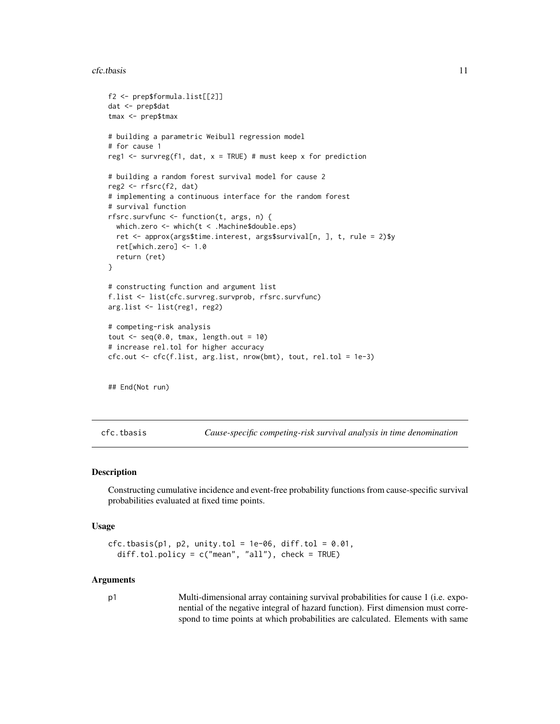<span id="page-10-0"></span>cfc.tbasis 11

```
f2 <- prep$formula.list[[2]]
dat <- prep$dat
tmax <- prep$tmax
# building a parametric Weibull regression model
# for cause 1
reg1 \le survreg(f1, dat, x = TRUE) # must keep x for prediction
# building a random forest survival model for cause 2
reg2 <- rfsrc(f2, dat)
# implementing a continuous interface for the random forest
# survival function
rfsrc.survfunc <- function(t, args, n) {
 which.zero <- which(t < .Machine$double.eps)
 ret <- approx(args$time.interest, args$survival[n, ], t, rule = 2)$y
 ret[which.zero] <- 1.0
 return (ret)
}
# constructing function and argument list
f.list <- list(cfc.survreg.survprob, rfsrc.survfunc)
arg.list <- list(reg1, reg2)
# competing-risk analysis
tout \leq seq(0.0, tmax, length.out = 10)
# increase rel.tol for higher accuracy
cfc.out \leftarrow cfc(f.list, arg.list, nrow(bmt), tout, rel.tol = 1e-3)## End(Not run)
```
<span id="page-10-1"></span>cfc.tbasis *Cause-specific competing-risk survival analysis in time denomination*

#### Description

Constructing cumulative incidence and event-free probability functions from cause-specific survival probabilities evaluated at fixed time points.

#### Usage

```
cfc.tbasis(p1, p2, unity.tol = 1e-06, diff.tol = 0.01,
  diff.tol.policy = c("mean", "all"), check = TRUE)
```
#### Arguments

p1 Multi-dimensional array containing survival probabilities for cause 1 (i.e. exponential of the negative integral of hazard function). First dimension must correspond to time points at which probabilities are calculated. Elements with same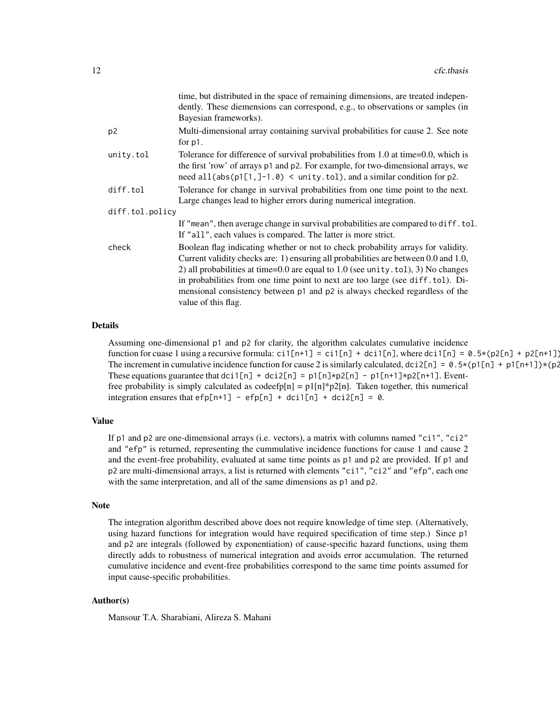|                 | time, but distributed in the space of remaining dimensions, are treated indepen-<br>dently. These diemensions can correspond, e.g., to observations or samples (in<br>Bayesian frameworks).                                                                                                                                                                                                                                                            |
|-----------------|--------------------------------------------------------------------------------------------------------------------------------------------------------------------------------------------------------------------------------------------------------------------------------------------------------------------------------------------------------------------------------------------------------------------------------------------------------|
| p <sub>2</sub>  | Multi-dimensional array containing survival probabilities for cause 2. See note<br>for $p1$ .                                                                                                                                                                                                                                                                                                                                                          |
| unity.tol       | Tolerance for difference of survival probabilities from 1.0 at time=0.0, which is<br>the first 'row' of arrays p1 and p2. For example, for two-dimensional arrays, we<br>need all( $abs(p1[1, ]-1.0)$ < unity.tol), and a similar condition for p2.                                                                                                                                                                                                    |
| diff.tol        | Tolerance for change in survival probabilities from one time point to the next.<br>Large changes lead to higher errors during numerical integration.                                                                                                                                                                                                                                                                                                   |
| diff.tol.policy |                                                                                                                                                                                                                                                                                                                                                                                                                                                        |
|                 | If "mean", then average change in survival probabilities are compared to diff.tol.<br>If "all", each values is compared. The latter is more strict.                                                                                                                                                                                                                                                                                                    |
| check           | Boolean flag indicating whether or not to check probability arrays for validity.<br>Current validity checks are: 1) ensuring all probabilities are between 0.0 and 1.0,<br>2) all probabilities at time= $0.0$ are equal to 1.0 (see unity.tol), 3) No changes<br>in probabilities from one time point to next are too large (see diff.tol). Di-<br>mensional consistency between p1 and p2 is always checked regardless of the<br>value of this flag. |

#### Details

Assuming one-dimensional p1 and p2 for clarity, the algorithm calculates cumulative incidence function for cuase 1 using a recursive formula:  $\text{ci}[n+1] = \text{ci}[n] + \text{dci}[n]$ , where  $\text{di}[n] = 0.5 \times (p2[n] + p2[n+1])$ The increment in cumulative incidence function for cause 2 is similarly calculated, dci2[n] =  $0.5*(p1[n] + p1[n+1])*(p2)$ . These equations guarantee that  $\text{dci1}[n] + \text{dci2}[n] = \text{p1}[n] \cdot \text{p2}[n] - \text{p1}[n+1] \cdot \text{p2}[n+1]$ . Eventfree probability is simply calculated as codeefp[n] =  $p1[n]*p2[n]$ . Taken together, this numerical integration ensures that  $efp[n+1] - efp[n] + dci1[n] + dci2[n] = 0$ .

#### Value

If p1 and p2 are one-dimensional arrays (i.e. vectors), a matrix with columns named "ci1", "ci2" and "efp" is returned, representing the cummulative incidence functions for cause 1 and cause 2 and the event-free probability, evaluated at same time points as p1 and p2 are provided. If p1 and p2 are multi-dimensional arrays, a list is returned with elements "ci1", "ci2" and "efp", each one with the same interpretation, and all of the same dimensions as p1 and p2.

### **Note**

The integration algorithm described above does not require knowledge of time step. (Alternatively, using hazard functions for integration would have required specification of time step.) Since p1 and p2 are integrals (followed by exponentiation) of cause-specific hazard functions, using them directly adds to robustness of numerical integration and avoids error accumulation. The returned cumulative incidence and event-free probabilities correspond to the same time points assumed for input cause-specific probabilities.

#### Author(s)

Mansour T.A. Sharabiani, Alireza S. Mahani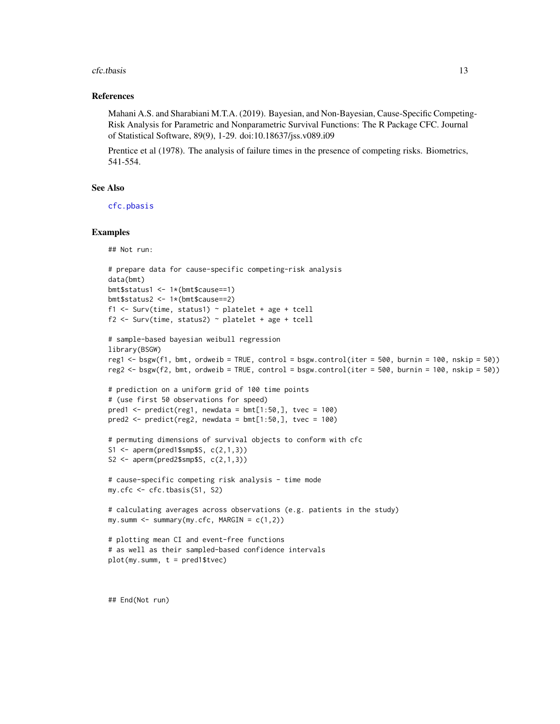#### <span id="page-12-0"></span>cfc.tbasis 13

#### References

Mahani A.S. and Sharabiani M.T.A. (2019). Bayesian, and Non-Bayesian, Cause-Specific Competing-Risk Analysis for Parametric and Nonparametric Survival Functions: The R Package CFC. Journal of Statistical Software, 89(9), 1-29. doi:10.18637/jss.v089.i09

Prentice et al (1978). The analysis of failure times in the presence of competing risks. Biometrics, 541-554.

#### See Also

[cfc.pbasis](#page-4-1)

#### Examples

## Not run:

```
# prepare data for cause-specific competing-risk analysis
data(bmt)
bmt$status1 <- 1*(bmt$cause==1)
bmt$status2 <- 1*(bmt$cause==2)
f1 <- Surv(time, status1) ~ platelet + age + tcell
f2 <- Surv(time, status2) \sim platelet + age + tcell
```

```
# sample-based bayesian weibull regression
library(BSGW)
reg1 <- bsgw(f1, bmt, ordweib = TRUE, control = bsgw.control(iter = 500, burnin = 100, nskip = 50))
reg2 <- bsgw(f2, bmt, ordweib = TRUE, control = bsgw.control(iter = 500, burnin = 100, nskip = 50))
```

```
# prediction on a uniform grid of 100 time points
# (use first 50 observations for speed)
pred1 <- predict(reg1, newdata = bmt[1:50,], tree = 100)pred2 \le predict(reg2, newdata = bmt[1:50,], tvec = 100)
```

```
# permuting dimensions of survival objects to conform with cfc
S1 <- aperm(pred1$smp$S, c(2,1,3))
S2 \leq aperm(pred2$smp$S, c(2,1,3))
```

```
# cause-specific competing risk analysis - time mode
my.cfc <- cfc.tbasis(S1, S2)
```

```
# calculating averages across observations (e.g. patients in the study)
my.summ <- summary(my.cfc, MARGIN = c(1,2))
```

```
# plotting mean CI and event-free functions
# as well as their sampled-based confidence intervals
plot(my.sum, t = pred1$tree)
```
## End(Not run)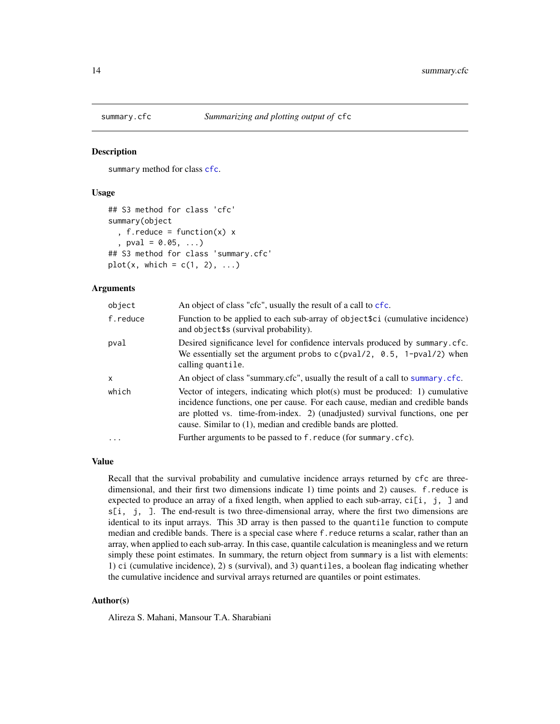<span id="page-13-1"></span><span id="page-13-0"></span>

#### **Description**

summary method for class [cfc](#page-1-1).

#### Usage

```
## S3 method for class 'cfc'
summary(object
  , f.reduce = function(x) x
  , pval = 0.05, ...## S3 method for class 'summary.cfc'
plot(x, which = c(1, 2), ...)
```
#### Arguments

| object   | An object of class "cfc", usually the result of a call to cfc.                                                                                                                                                                                                                                                 |
|----------|----------------------------------------------------------------------------------------------------------------------------------------------------------------------------------------------------------------------------------------------------------------------------------------------------------------|
| f.reduce | Function to be applied to each sub-array of object \$ci (cumulative incidence)<br>and object\$s (survival probability).                                                                                                                                                                                        |
| pval     | Desired significance level for confidence intervals produced by summary. cfc.<br>We essentially set the argument probs to $c(pval/2, 0.5, 1-pval/2)$ when<br>calling quantile.                                                                                                                                 |
| x        | An object of class "summary.cfc", usually the result of a call to summary.cfc.                                                                                                                                                                                                                                 |
| which    | Vector of integers, indicating which plot(s) must be produced: 1) cumulative<br>incidence functions, one per cause. For each cause, median and credible bands<br>are plotted vs. time-from-index. 2) (unadjusted) survival functions, one per<br>cause. Similar to (1), median and credible bands are plotted. |
| $\cdots$ | Further arguments to be passed to f. reduce (for summary.cfc).                                                                                                                                                                                                                                                 |

#### Value

Recall that the survival probability and cumulative incidence arrays returned by cfc are threedimensional, and their first two dimensions indicate 1) time points and 2) causes. f.reduce is expected to produce an array of a fixed length, when applied to each sub-array,  $\text{ci}[i, j]$  and  $s[i, j, ]$ . The end-result is two three-dimensional array, where the first two dimensions are identical to its input arrays. This 3D array is then passed to the quantile function to compute median and credible bands. There is a special case where f.reduce returns a scalar, rather than an array, when applied to each sub-array. In this case, quantile calculation is meaningless and we return simply these point estimates. In summary, the return object from summary is a list with elements: 1) ci (cumulative incidence), 2) s (survival), and 3) quantiles, a boolean flag indicating whether the cumulative incidence and survival arrays returned are quantiles or point estimates.

#### Author(s)

Alireza S. Mahani, Mansour T.A. Sharabiani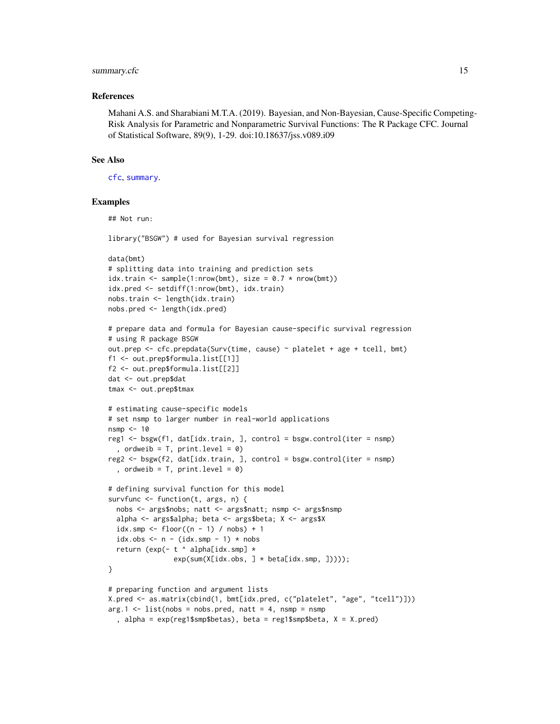#### <span id="page-14-0"></span>summary.cfc 15

#### References

Mahani A.S. and Sharabiani M.T.A. (2019). Bayesian, and Non-Bayesian, Cause-Specific Competing-Risk Analysis for Parametric and Nonparametric Survival Functions: The R Package CFC. Journal of Statistical Software, 89(9), 1-29. doi:10.18637/jss.v089.i09

# See Also

[cfc](#page-1-1), [summary](#page-0-0).

## Examples

## Not run:

```
library("BSGW") # used for Bayesian survival regression
```

```
data(bmt)
# splitting data into training and prediction sets
idx.train <- sample(1:nrow(bmt), size = 0.7 * new(bmt))
idx.pred <- setdiff(1:nrow(bmt), idx.train)
nobs.train <- length(idx.train)
nobs.pred <- length(idx.pred)
```

```
# prepare data and formula for Bayesian cause-specific survival regression
# using R package BSGW
out.prep <- cfc.prepdata(Surv(time, cause) ~ platelet + age + tcell, bmt)
f1 <- out.prep$formula.list[[1]]
f2 <- out.prep$formula.list[[2]]
dat <- out.prep$dat
```

```
tmax <- out.prep$tmax
```

```
# estimating cause-specific models
# set nsmp to larger number in real-world applications
nsmp <-10reg1 \leq bsgw(f1, dat[idx.train, ], control = bsgw.control(iter = nsmp)
  , ordweib = T, print.level = 0)
reg2 <- bsgw(f2, dat[idx.train, ], control = bsgw.control(iter = nsmp)
  , ordweib = T, print.level = 0)
# defining survival function for this model
survfunc \leq function(t, args, n) {
  nobs <- args$nobs; natt <- args$natt; nsmp <- args$nsmp
  alpha <- args$alpha; beta <- args$beta; X <- args$X
  idx.smp \leftarrow floor((n - 1) / nobs) + 1idx.obs \leq n - (idx.smp - 1) * nobsreturn (exp(- t ^ alpha[idx.smp] *
                exp(sum(X[idx.obs, ] * beta[idx.smp, ]))));
}
```

```
# preparing function and argument lists
X.pred <- as.matrix(cbind(1, bmt[idx.pred, c("platelet", "age", "tcell")]))
arg.1 \leq -\text{list}(nobs = nobs.pred, natt = 4, nsmp = nsmp, alpha = exp(reg1$smp$betas), beta = reg1$smp$beta, X = X.pred)
```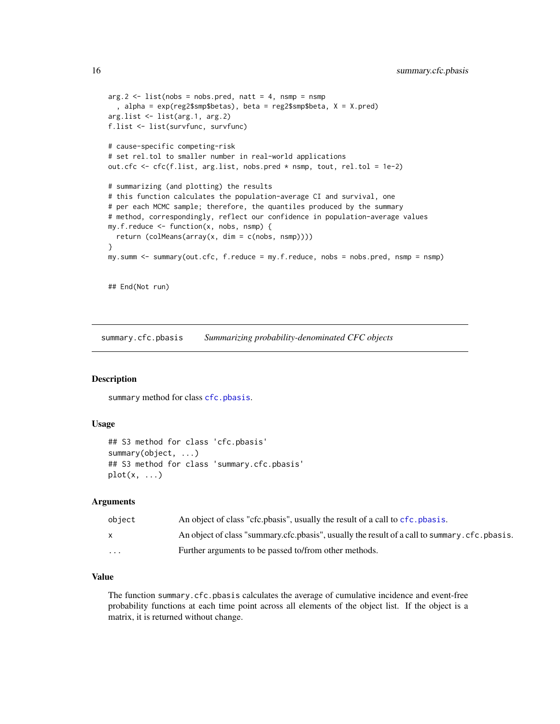```
arg.2 \leq -\text{list}(nobs = nobs.pred, natt = 4, nsmp = nsmp, alpha = exp(reg2$smp$betas), beta = reg2$smp$beta, X = X.pred)
arg.list <- list(arg.1, arg.2)
f.list <- list(survfunc, survfunc)
# cause-specific competing-risk
# set rel.tol to smaller number in real-world applications
out.cfc <- cfc(f.list, arg.list, nobs.pred * nsmp, tout, rel.tol = 1e-2)
# summarizing (and plotting) the results
# this function calculates the population-average CI and survival, one
# per each MCMC sample; therefore, the quantiles produced by the summary
# method, correspondingly, reflect our confidence in population-average values
my.f. reduce \leq function(x, nobs, nsmp) {
 return (colMeans(array(x, dim = c(nobs, nsmp))))
}
my.summ <- summary(out.cfc, f.reduce = my.f.reduce, nobs = nobs.pred, nsmp = nsmp)
## End(Not run)
```
summary.cfc.pbasis *Summarizing probability-denominated CFC objects*

#### Description

summary method for class [cfc.pbasis](#page-4-1).

#### Usage

```
## S3 method for class 'cfc.pbasis'
summary(object, ...)
## S3 method for class 'summary.cfc.pbasis'
plot(x, \ldots)
```
#### Arguments

| object   | An object of class "cfc.pbasis", usually the result of a call to cfc.pbasis.                 |
|----------|----------------------------------------------------------------------------------------------|
| X        | An object of class "summary.cfc.pbasis", usually the result of a call to summary.cfc.pbasis. |
| $\cdots$ | Further arguments to be passed to/from other methods.                                        |

#### Value

The function summary.cfc.pbasis calculates the average of cumulative incidence and event-free probability functions at each time point across all elements of the object list. If the object is a matrix, it is returned without change.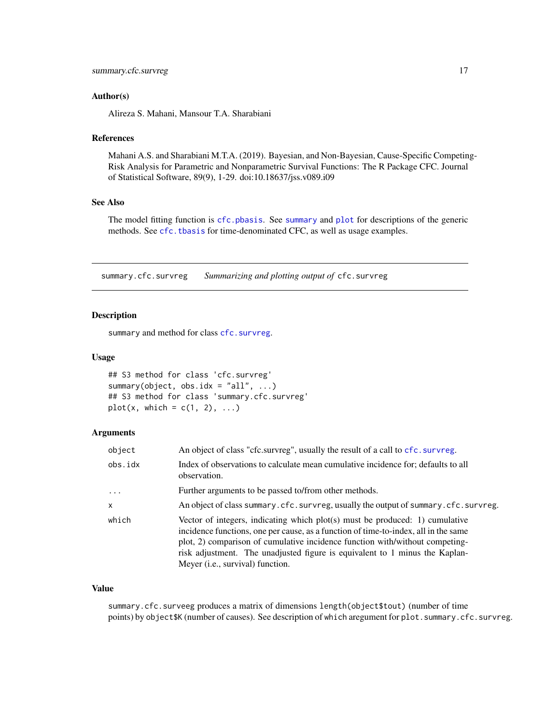### <span id="page-16-0"></span>Author(s)

Alireza S. Mahani, Mansour T.A. Sharabiani

#### References

Mahani A.S. and Sharabiani M.T.A. (2019). Bayesian, and Non-Bayesian, Cause-Specific Competing-Risk Analysis for Parametric and Nonparametric Survival Functions: The R Package CFC. Journal of Statistical Software, 89(9), 1-29. doi:10.18637/jss.v089.i09

#### See Also

The model fitting function is [cfc.pbasis](#page-4-1). See [summary](#page-0-0) and [plot](#page-0-0) for descriptions of the generic methods. See [cfc.tbasis](#page-10-1) for time-denominated CFC, as well as usage examples.

summary.cfc.survreg *Summarizing and plotting output of* cfc.survreg

#### Description

summary and method for class [cfc.survreg](#page-7-1).

#### Usage

```
## S3 method for class 'cfc.survreg'
summary(object, obs.idx = "all", \dots)
## S3 method for class 'summary.cfc.survreg'
plot(x, which = c(1, 2), ...)
```
# Arguments

| object       | An object of class "cfc.survreg", usually the result of a call to cfc.survreg.                                                                                                                                                                                                                                                                                           |
|--------------|--------------------------------------------------------------------------------------------------------------------------------------------------------------------------------------------------------------------------------------------------------------------------------------------------------------------------------------------------------------------------|
| obs.idx      | Index of observations to calculate mean cumulative incidence for; defaults to all<br>observation.                                                                                                                                                                                                                                                                        |
| $\ddots$     | Further arguments to be passed to/from other methods.                                                                                                                                                                                                                                                                                                                    |
| $\mathsf{x}$ | An object of class summary.cfc.survreg, usually the output of summary.cfc.survreg.                                                                                                                                                                                                                                                                                       |
| which        | Vector of integers, indicating which $plot(s)$ must be produced: 1) cumulative<br>incidence functions, one per cause, as a function of time-to-index, all in the same<br>plot, 2) comparison of cumulative incidence function with/without competing-<br>risk adjustment. The unadjusted figure is equivalent to 1 minus the Kaplan-<br>Meyer (i.e., survival) function. |

#### Value

summary.cfc.surveeg produces a matrix of dimensions length(object\$tout) (number of time points) by object \$K (number of causes). See description of which aregument for plot.summary.cfc.survreg.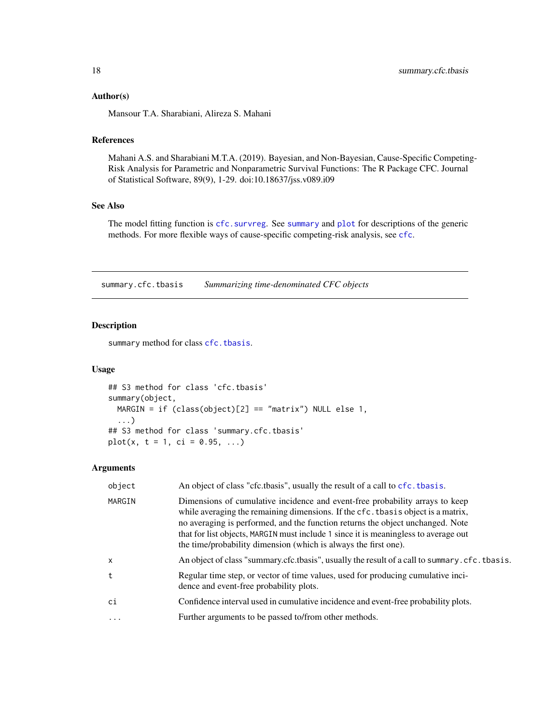#### <span id="page-17-0"></span>Author(s)

Mansour T.A. Sharabiani, Alireza S. Mahani

# References

Mahani A.S. and Sharabiani M.T.A. (2019). Bayesian, and Non-Bayesian, Cause-Specific Competing-Risk Analysis for Parametric and Nonparametric Survival Functions: The R Package CFC. Journal of Statistical Software, 89(9), 1-29. doi:10.18637/jss.v089.i09

# See Also

The model fitting function is [cfc.survreg](#page-7-1). See [summary](#page-0-0) and [plot](#page-0-0) for descriptions of the generic methods. For more flexible ways of cause-specific competing-risk analysis, see [cfc](#page-1-1).

summary.cfc.tbasis *Summarizing time-denominated CFC objects*

#### Description

summary method for class [cfc.tbasis](#page-10-1).

#### Usage

```
## S3 method for class 'cfc.tbasis'
summary(object,
 MARGIN = if (class(object)[2] == "matrix") NULL else 1,...)
## S3 method for class 'summary.cfc.tbasis'
plot(x, t = 1, ci = 0.95, ...)
```
#### Arguments

| object   | An object of class "cfc.tbasis", usually the result of a call to cfc. tbasis.                                                                                                                                                                                                                                                                                                                                |
|----------|--------------------------------------------------------------------------------------------------------------------------------------------------------------------------------------------------------------------------------------------------------------------------------------------------------------------------------------------------------------------------------------------------------------|
| MARGIN   | Dimensions of cumulative incidence and event-free probability arrays to keep<br>while averaging the remaining dimensions. If the cfc. tbasis object is a matrix,<br>no averaging is performed, and the function returns the object unchanged. Note<br>that for list objects, MARGIN must include 1 since it is meaningless to average out<br>the time/probability dimension (which is always the first one). |
| $\times$ | An object of class "summary.cfc.tbasis", usually the result of a call to summary.cfc.tbasis.                                                                                                                                                                                                                                                                                                                 |
| t        | Regular time step, or vector of time values, used for producing cumulative inci-<br>dence and event-free probability plots.                                                                                                                                                                                                                                                                                  |
| ci       | Confidence interval used in cumulative incidence and event-free probability plots.                                                                                                                                                                                                                                                                                                                           |
| .        | Further arguments to be passed to/from other methods.                                                                                                                                                                                                                                                                                                                                                        |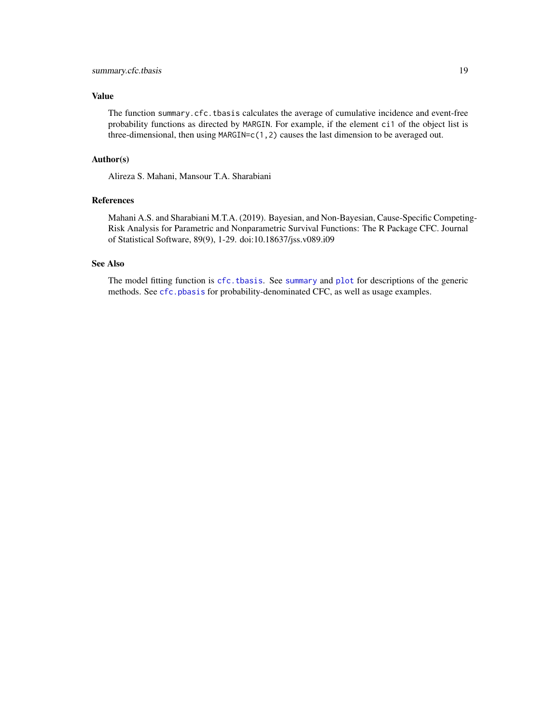# <span id="page-18-0"></span>summary.cfc.tbasis 19

# Value

The function summary.cfc.tbasis calculates the average of cumulative incidence and event-free probability functions as directed by MARGIN. For example, if the element ci1 of the object list is three-dimensional, then using MARGIN=c(1,2) causes the last dimension to be averaged out.

## Author(s)

Alireza S. Mahani, Mansour T.A. Sharabiani

# References

Mahani A.S. and Sharabiani M.T.A. (2019). Bayesian, and Non-Bayesian, Cause-Specific Competing-Risk Analysis for Parametric and Nonparametric Survival Functions: The R Package CFC. Journal of Statistical Software, 89(9), 1-29. doi:10.18637/jss.v089.i09

# See Also

The model fitting function is [cfc.tbasis](#page-10-1). See [summary](#page-0-0) and [plot](#page-0-0) for descriptions of the generic methods. See [cfc.pbasis](#page-4-1) for probability-denominated CFC, as well as usage examples.